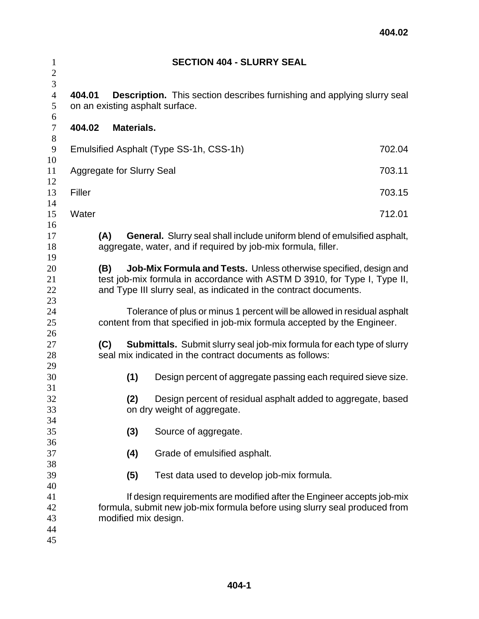| $\mathbf{1}$<br>$\sqrt{2}$    |        |                                  |            | <b>SECTION 404 - SLURRY SEAL</b>                                         |                                                                                                                                                      |
|-------------------------------|--------|----------------------------------|------------|--------------------------------------------------------------------------|------------------------------------------------------------------------------------------------------------------------------------------------------|
| 3<br>$\overline{4}$<br>5<br>6 | 404.01 |                                  |            | on an existing asphalt surface.                                          | <b>Description.</b> This section describes furnishing and applying slurry seal                                                                       |
| $\tau$<br>$8\,$               | 404.02 |                                  | Materials. |                                                                          |                                                                                                                                                      |
| $\boldsymbol{9}$<br>10        |        |                                  |            | Emulsified Asphalt (Type SS-1h, CSS-1h)                                  | 702.04                                                                                                                                               |
| 11<br>12                      |        | <b>Aggregate for Slurry Seal</b> |            |                                                                          | 703.11                                                                                                                                               |
| 13<br>14                      | Filler |                                  |            |                                                                          | 703.15                                                                                                                                               |
| 15<br>16                      | Water  |                                  |            |                                                                          | 712.01                                                                                                                                               |
| 17<br>18<br>19                |        | (A)                              |            | aggregate, water, and if required by job-mix formula, filler.            | <b>General.</b> Slurry seal shall include uniform blend of emulsified asphalt,                                                                       |
| 20<br>21<br>22<br>23          |        | (B)                              |            | and Type III slurry seal, as indicated in the contract documents.        | Job-Mix Formula and Tests. Unless otherwise specified, design and<br>test job-mix formula in accordance with ASTM D 3910, for Type I, Type II,       |
| 24<br>25<br>26                |        |                                  |            | content from that specified in job-mix formula accepted by the Engineer. | Tolerance of plus or minus 1 percent will be allowed in residual asphalt                                                                             |
| 27<br>28<br>29                |        | (C)                              |            | seal mix indicated in the contract documents as follows:                 | <b>Submittals.</b> Submit slurry seal job-mix formula for each type of slurry                                                                        |
| 30<br>31                      |        |                                  | (1)        |                                                                          | Design percent of aggregate passing each required sieve size.                                                                                        |
| 32<br>33<br>34                |        |                                  | (2)        | on dry weight of aggregate.                                              | Design percent of residual asphalt added to aggregate, based                                                                                         |
| 35<br>36                      |        |                                  | (3)        | Source of aggregate.                                                     |                                                                                                                                                      |
| 37<br>38                      |        |                                  | (4)        | Grade of emulsified asphalt.                                             |                                                                                                                                                      |
| 39<br>40                      |        |                                  | (5)        | Test data used to develop job-mix formula.                               |                                                                                                                                                      |
| 41<br>42<br>43<br>44<br>45    |        |                                  |            | modified mix design.                                                     | If design requirements are modified after the Engineer accepts job-mix<br>formula, submit new job-mix formula before using slurry seal produced from |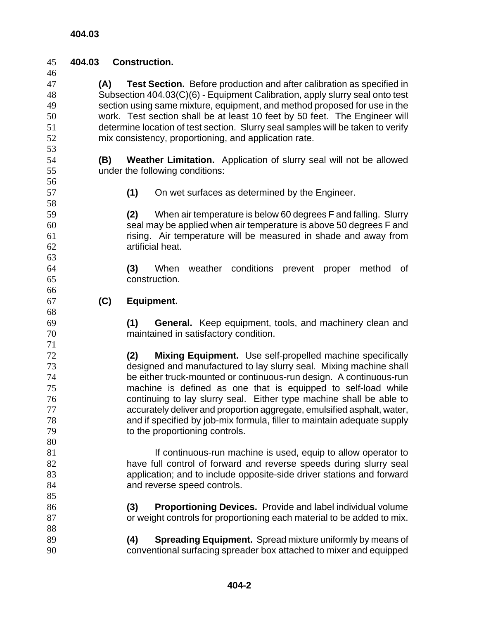**404.03 Construction.** 

| 49<br>50<br>51 | section using same mixture, equipment, and method proposed for use in the<br>work. Test section shall be at least 10 feet by 50 feet. The Engineer will<br>determine location of test section. Slurry seal samples will be taken to verify |                                                                                                                                     |  |  |  |  |
|----------------|--------------------------------------------------------------------------------------------------------------------------------------------------------------------------------------------------------------------------------------------|-------------------------------------------------------------------------------------------------------------------------------------|--|--|--|--|
| 52             |                                                                                                                                                                                                                                            | mix consistency, proportioning, and application rate.                                                                               |  |  |  |  |
| 53             |                                                                                                                                                                                                                                            |                                                                                                                                     |  |  |  |  |
| 54             | (B)                                                                                                                                                                                                                                        | Weather Limitation. Application of slurry seal will not be allowed                                                                  |  |  |  |  |
| 55             |                                                                                                                                                                                                                                            | under the following conditions:                                                                                                     |  |  |  |  |
| 56             |                                                                                                                                                                                                                                            |                                                                                                                                     |  |  |  |  |
| 57             |                                                                                                                                                                                                                                            | (1)<br>On wet surfaces as determined by the Engineer.                                                                               |  |  |  |  |
| 58             |                                                                                                                                                                                                                                            |                                                                                                                                     |  |  |  |  |
| 59             |                                                                                                                                                                                                                                            | When air temperature is below 60 degrees F and falling. Slurry<br>(2)                                                               |  |  |  |  |
| 60             |                                                                                                                                                                                                                                            | seal may be applied when air temperature is above 50 degrees F and                                                                  |  |  |  |  |
| 61             |                                                                                                                                                                                                                                            | rising. Air temperature will be measured in shade and away from                                                                     |  |  |  |  |
| 62             |                                                                                                                                                                                                                                            | artificial heat.                                                                                                                    |  |  |  |  |
| 63             |                                                                                                                                                                                                                                            |                                                                                                                                     |  |  |  |  |
| 64             |                                                                                                                                                                                                                                            | (3)<br>weather conditions prevent proper<br>When<br>method<br>of                                                                    |  |  |  |  |
| 65             |                                                                                                                                                                                                                                            | construction.                                                                                                                       |  |  |  |  |
| 66             |                                                                                                                                                                                                                                            |                                                                                                                                     |  |  |  |  |
| 67             | (C)                                                                                                                                                                                                                                        | Equipment.                                                                                                                          |  |  |  |  |
| 68             |                                                                                                                                                                                                                                            |                                                                                                                                     |  |  |  |  |
| 69             |                                                                                                                                                                                                                                            | (1)<br><b>General.</b> Keep equipment, tools, and machinery clean and                                                               |  |  |  |  |
| 70             |                                                                                                                                                                                                                                            | maintained in satisfactory condition.                                                                                               |  |  |  |  |
| 71             |                                                                                                                                                                                                                                            |                                                                                                                                     |  |  |  |  |
| 72             |                                                                                                                                                                                                                                            | Mixing Equipment. Use self-propelled machine specifically<br>(2)                                                                    |  |  |  |  |
| 73             |                                                                                                                                                                                                                                            | designed and manufactured to lay slurry seal. Mixing machine shall                                                                  |  |  |  |  |
| 74             |                                                                                                                                                                                                                                            | be either truck-mounted or continuous-run design. A continuous-run                                                                  |  |  |  |  |
| 75             |                                                                                                                                                                                                                                            | machine is defined as one that is equipped to self-load while                                                                       |  |  |  |  |
| 76             |                                                                                                                                                                                                                                            | continuing to lay slurry seal. Either type machine shall be able to                                                                 |  |  |  |  |
| 77             |                                                                                                                                                                                                                                            | accurately deliver and proportion aggregate, emulsified asphalt, water,                                                             |  |  |  |  |
| 78             |                                                                                                                                                                                                                                            | and if specified by job-mix formula, filler to maintain adequate supply                                                             |  |  |  |  |
| 79             |                                                                                                                                                                                                                                            | to the proportioning controls.                                                                                                      |  |  |  |  |
| 80             |                                                                                                                                                                                                                                            |                                                                                                                                     |  |  |  |  |
| 81<br>82       |                                                                                                                                                                                                                                            | If continuous-run machine is used, equip to allow operator to<br>have full control of forward and reverse speeds during slurry seal |  |  |  |  |
| 83             |                                                                                                                                                                                                                                            | application; and to include opposite-side driver stations and forward                                                               |  |  |  |  |
| 84             |                                                                                                                                                                                                                                            | and reverse speed controls.                                                                                                         |  |  |  |  |
| 85             |                                                                                                                                                                                                                                            |                                                                                                                                     |  |  |  |  |
| 86             |                                                                                                                                                                                                                                            | (3)<br><b>Proportioning Devices.</b> Provide and label individual volume                                                            |  |  |  |  |
| 87             |                                                                                                                                                                                                                                            | or weight controls for proportioning each material to be added to mix.                                                              |  |  |  |  |
| 88             |                                                                                                                                                                                                                                            |                                                                                                                                     |  |  |  |  |
| 89             |                                                                                                                                                                                                                                            | (4)<br><b>Spreading Equipment.</b> Spread mixture uniformly by means of                                                             |  |  |  |  |
| 90             |                                                                                                                                                                                                                                            | conventional surfacing spreader box attached to mixer and equipped                                                                  |  |  |  |  |
|                |                                                                                                                                                                                                                                            |                                                                                                                                     |  |  |  |  |

**(A) Test Section.** Before production and after calibration as specified in 48 Subsection 404.03(C)(6) - Equipment Calibration, apply slurry seal onto test<br>49 section using same mixture, equipment, and method proposed for use in the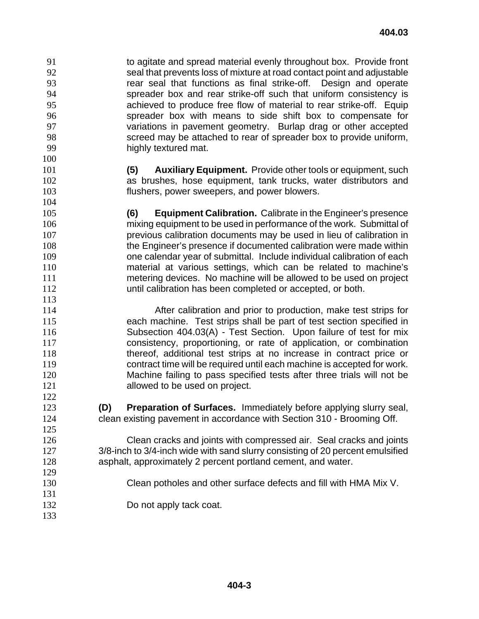to agitate and spread material evenly throughout box. Provide front seal that prevents loss of mixture at road contact point and adjustable rear seal that functions as final strike-off. Design and operate spreader box and rear strike-off such that uniform consistency is achieved to produce free flow of material to rear strike-off. Equip spreader box with means to side shift box to compensate for variations in pavement geometry. Burlap drag or other accepted screed may be attached to rear of spreader box to provide uniform, highly textured mat. 

- **(5) Auxiliary Equipment.** Provide other tools or equipment, such as brushes, hose equipment, tank trucks, water distributors and flushers, power sweepers, and power blowers.
- **(6) Equipment Calibration.** Calibrate in the Engineer's presence mixing equipment to be used in performance of the work. Submittal of previous calibration documents may be used in lieu of calibration in the Engineer's presence if documented calibration were made within one calendar year of submittal. Include individual calibration of each material at various settings, which can be related to machine's metering devices. No machine will be allowed to be used on project until calibration has been completed or accepted, or both.

After calibration and prior to production, make test strips for each machine. Test strips shall be part of test section specified in Subsection 404.03(A) - Test Section. Upon failure of test for mix consistency, proportioning, or rate of application, or combination 118 thereof, additional test strips at no increase in contract price or contract time will be required until each machine is accepted for work. Machine failing to pass specified tests after three trials will not be **allowed to be used on project.** 

**(D) Preparation of Surfaces.** Immediately before applying slurry seal, clean existing pavement in accordance with Section 310 - Brooming Off.

Clean cracks and joints with compressed air. Seal cracks and joints 3/8-inch to 3/4-inch wide with sand slurry consisting of 20 percent emulsified asphalt, approximately 2 percent portland cement, and water.

- Clean potholes and other surface defects and fill with HMA Mix V.
- Do not apply tack coat.